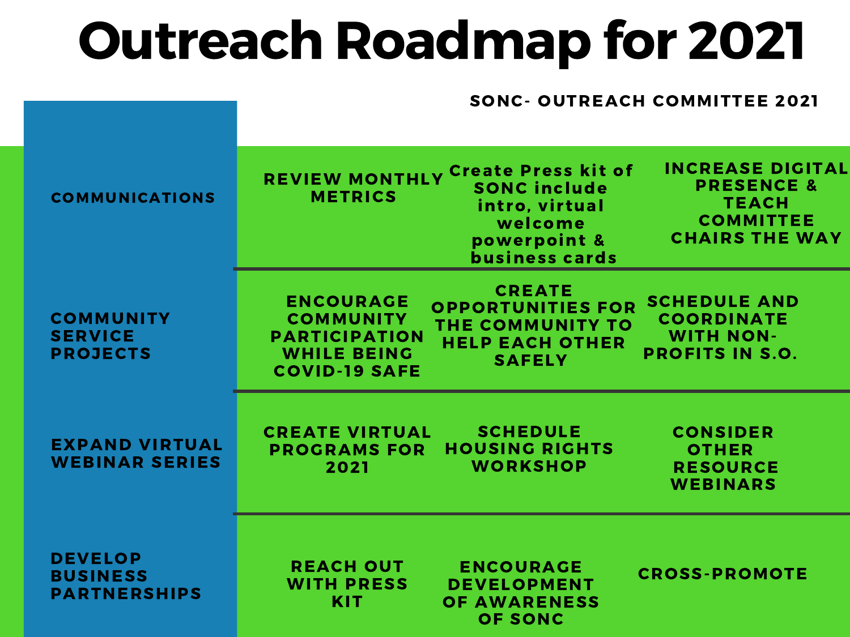## Outreach Roadmap for 2021

#### SONC- OUTREACH COMMITTEE 2021

| <b>COMMUNICATIONS</b>                                    | <b>INCREASE DIGITAL</b><br><b>REVIEW MONTHLY Create Press kit of</b><br><b>PRESENCE &amp;</b><br><b>SONC include</b><br><b>METRICS</b><br><b>TEACH</b><br>intro, virtual<br><b>COMMITTEE</b><br>welcome<br><b>CHAIRS THE WAY</b><br>powerpoint &<br><b>business cards</b>                                        |
|----------------------------------------------------------|------------------------------------------------------------------------------------------------------------------------------------------------------------------------------------------------------------------------------------------------------------------------------------------------------------------|
| <b>COMMUNITY</b><br><b>SERVICE</b><br><b>PROJECTS</b>    | <b>CREATE</b><br><b>SCHEDULE AND</b><br><b>ENCOURAGE</b><br><b>OPPORTUNITIES FOR</b><br><b>COORDINATE</b><br><b>COMMUNITY</b><br>THE COMMUNITY TO<br><b>WITH NON-</b><br><b>PARTICIPATION</b><br><b>HELP EACH OTHER</b><br><b>WHILE BEING</b><br><b>PROFITS IN S.O.</b><br><b>SAFELY</b><br><b>COVID-19 SAFE</b> |
| <b>EXPAND VIRTUAL</b><br><b>WEBINAR SERIES</b>           | <b>SCHEDULE</b><br><b>CREATE VIRTUAL</b><br><b>CONSIDER</b><br><b>HOUSING RIGHTS</b><br><b>PROGRAMS FOR</b><br><b>OTHER</b><br><b>WORKSHOP</b><br><b>RESOURCE</b><br>2021<br><b>WEBINARS</b>                                                                                                                     |
| <b>DEVELOP</b><br><b>BUSINESS</b><br><b>PARTNERSHIPS</b> | <b>REACH OUT</b><br><b>ENCOURAGE</b><br><b>CROSS-PROMOTE</b><br><b>WITH PRESS</b><br><b>DEVELOPMENT</b><br><b>KIT</b><br><b>OF AWARENESS</b><br><b>OF SONC</b>                                                                                                                                                   |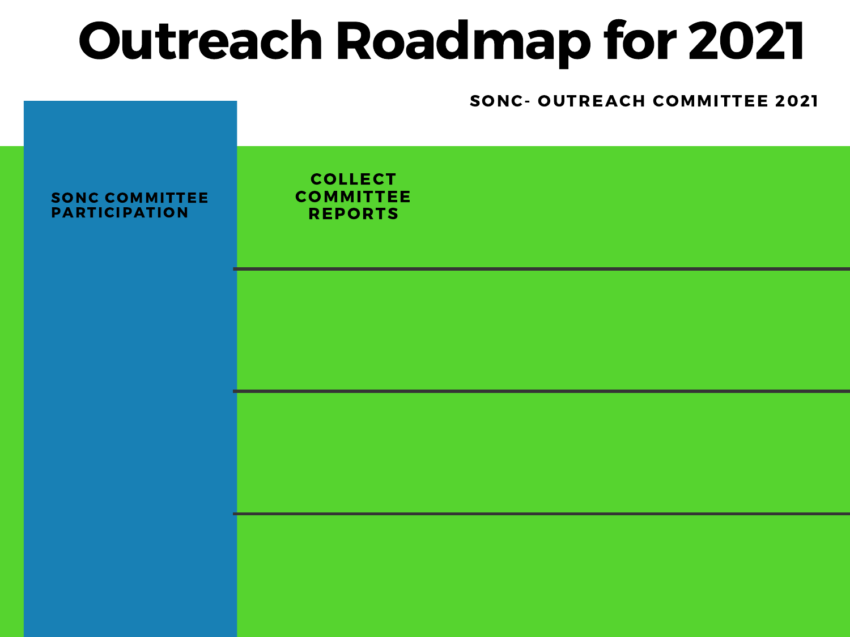# Outreach Roadmap for 2021

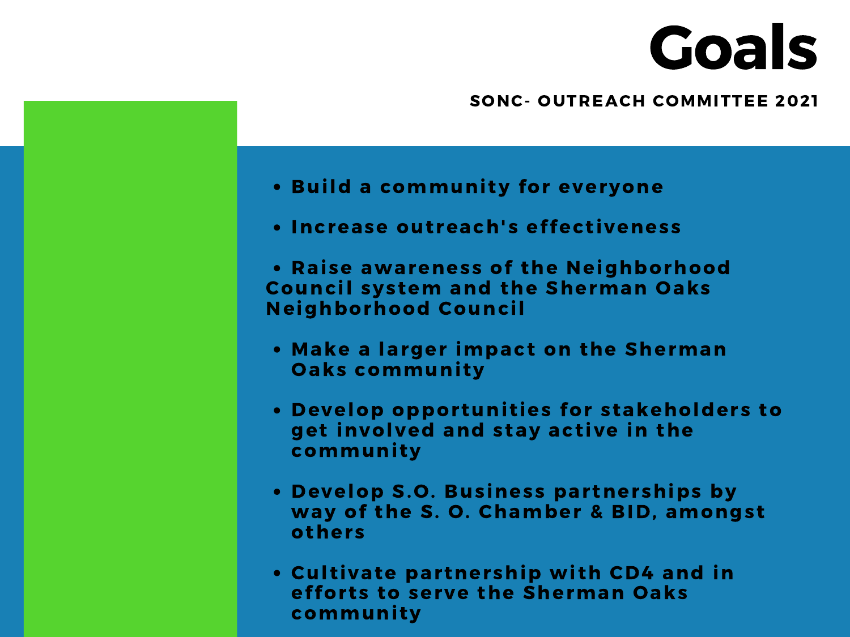# Goals

#### SONC- OUTREACH COMMITTEE 2021

- . Build a community for everyone
- Increase outreach's effectiveness
- Raise awareness of the Neighborhood Council system and the Sherman Oaks Neighborhood Council
- Make a larger impact on the Sherman **Oaks community**
- Develop opportunities for stakeholders to get involved and stay active in the community
- Develop S.O. Business partnerships by way of the S. O. Chamber & BID, amongst others
- Cultivate partnership with CD4 and in efforts to serve the Sherman Oaks community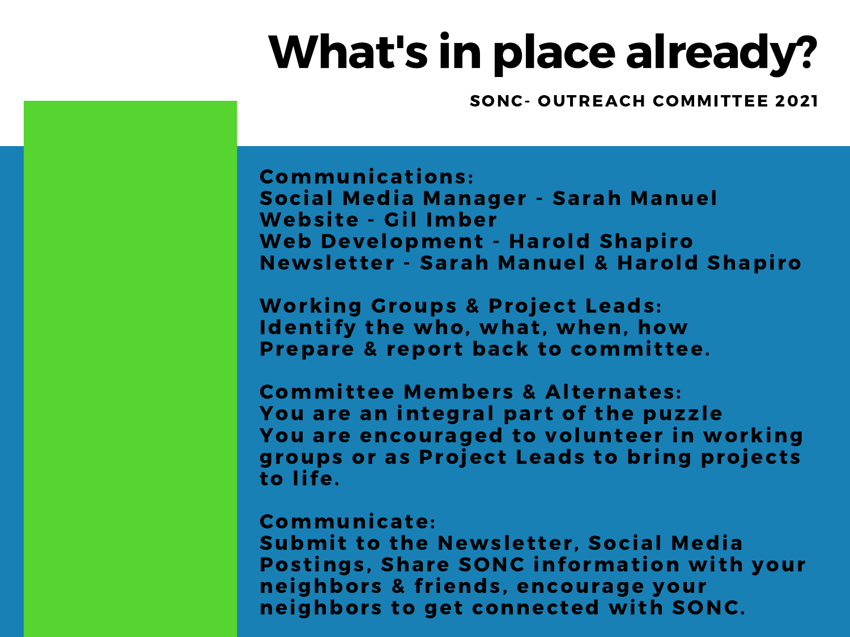### What's in place already?

SONC- OUTREACH COMMITTEE 2021

Communicat ions: Social Media Manager - Sarah Manuel Website - Gil Imber Web Development - Harold Shapiro Newsletter - Sarah Manuel & Harold Shapiro

Working Groups & Project Leads: Identify the who, what, when, how Prepare & report back to committee.

Committee Members & Alternates: You are an integral part of the puzzle You are encouraged to volunteer in working groups or as Project Leads to bring projects to life.

#### Communicate:

Submit to the Newsletter, Social Media Postings, Share SONC information with your neighbors & friends, encourage your neighbors to get connected with SONC.